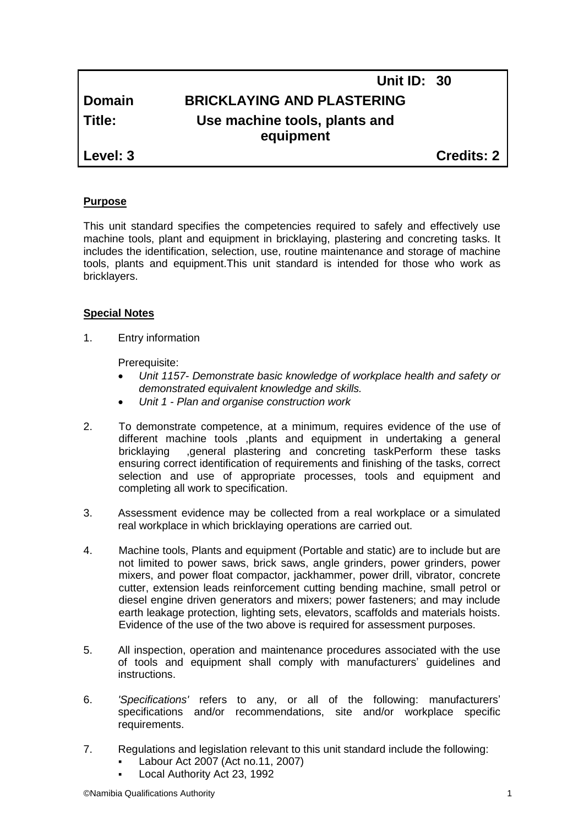# **Unit ID: 30 Domain BRICKLAYING AND PLASTERING Title: Use machine tools, plants and equipment**

**Level: 3 Credits: 2**

# **Purpose**

This unit standard specifies the competencies required to safely and effectively use machine tools, plant and equipment in bricklaying, plastering and concreting tasks. It includes the identification, selection, use, routine maintenance and storage of machine tools, plants and equipment.This unit standard is intended for those who work as bricklayers.

# **Special Notes**

1. Entry information

Prerequisite:

- *Unit 1157- Demonstrate basic knowledge of workplace health and safety or demonstrated equivalent knowledge and skills.*
- *Unit 1 - Plan and organise construction work*
- 2. To demonstrate competence, at a minimum, requires evidence of the use of different machine tools ,plants and equipment in undertaking a general bricklaying ,general plastering and concreting taskPerform these tasks ensuring correct identification of requirements and finishing of the tasks, correct selection and use of appropriate processes, tools and equipment and completing all work to specification.
- 3. Assessment evidence may be collected from a real workplace or a simulated real workplace in which bricklaying operations are carried out.
- 4. Machine tools, Plants and equipment (Portable and static) are to include but are not limited to power saws, brick saws, angle grinders, power grinders, power mixers, and power float compactor, jackhammer, power drill, vibrator, concrete cutter, extension leads reinforcement cutting bending machine, small petrol or diesel engine driven generators and mixers; power fasteners; and may include earth leakage protection, lighting sets, elevators, scaffolds and materials hoists. Evidence of the use of the two above is required for assessment purposes.
- 5. All inspection, operation and maintenance procedures associated with the use of tools and equipment shall comply with manufacturers' guidelines and instructions.
- 6. *'Specifications'* refers to any, or all of the following: manufacturers' specifications and/or recommendations, site and/or workplace specific requirements.
- 7. Regulations and legislation relevant to this unit standard include the following:
	- Labour Act 2007 (Act no.11, 2007)
	- Local Authority Act 23, 1992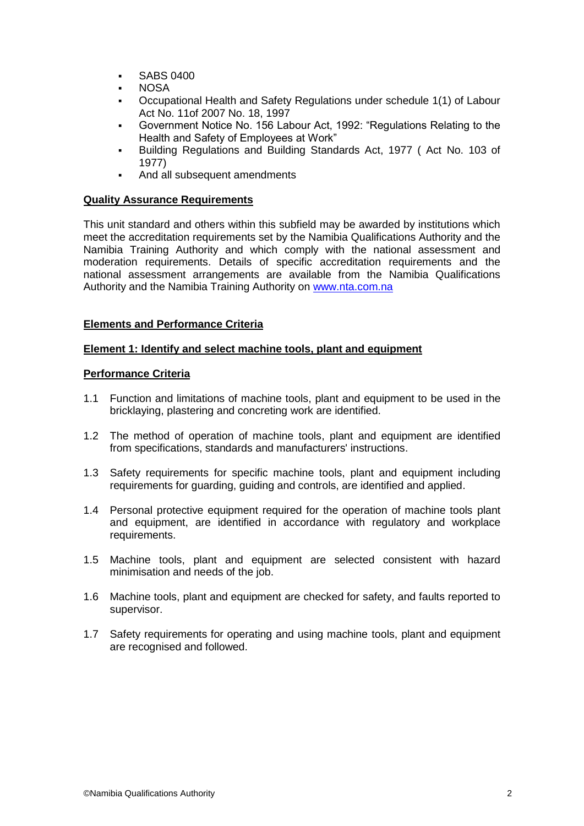- **SABS 0400**
- NOSA
- Occupational Health and Safety Regulations under schedule 1(1) of Labour Act No. 11of 2007 No. 18, 1997
- Government Notice No. 156 Labour Act, 1992: "Regulations Relating to the Health and Safety of Employees at Work"
- Building Regulations and Building Standards Act, 1977 ( Act No. 103 of 1977)
- And all subsequent amendments

## **Quality Assurance Requirements**

This unit standard and others within this subfield may be awarded by institutions which meet the accreditation requirements set by the Namibia Qualifications Authority and the Namibia Training Authority and which comply with the national assessment and moderation requirements. Details of specific accreditation requirements and the national assessment arrangements are available from the Namibia Qualifications Authority and the Namibia Training Authority on [www.nta.com.na](http://www.nta.com.na/)

#### **Elements and Performance Criteria**

#### **Element 1: Identify and select machine tools, plant and equipment**

#### **Performance Criteria**

- 1.1 Function and limitations of machine tools, plant and equipment to be used in the bricklaying, plastering and concreting work are identified.
- 1.2 The method of operation of machine tools, plant and equipment are identified from specifications, standards and manufacturers' instructions.
- 1.3 Safety requirements for specific machine tools, plant and equipment including requirements for guarding, guiding and controls, are identified and applied.
- 1.4 Personal protective equipment required for the operation of machine tools plant and equipment, are identified in accordance with regulatory and workplace requirements.
- 1.5 Machine tools, plant and equipment are selected consistent with hazard minimisation and needs of the job.
- 1.6 Machine tools, plant and equipment are checked for safety, and faults reported to supervisor.
- 1.7 Safety requirements for operating and using machine tools, plant and equipment are recognised and followed.